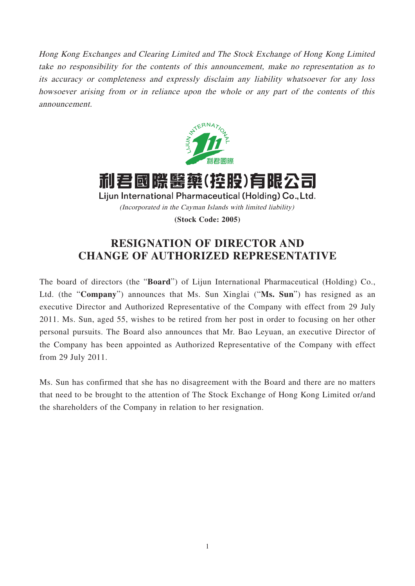Hong Kong Exchanges and Clearing Limited and The Stock Exchange of Hong Kong Limited take no responsibility for the contents of this announcement, make no representation as to its accuracy or completeness and expressly disclaim any liability whatsoever for any loss howsoever arising from or in reliance upon the whole or any part of the contents of this announcement.



利君國際醫藥(控股)有限公司 Lijun International Pharmaceutical (Holding) Co., Ltd. (Incorporated in the Cayman Islands with limited liability)

**(Stock Code: 2005)**

## **RESIGNATION OF DIRECTOR AND CHANGE OF AUTHORIZED REPRESENTATIVE**

The board of directors (the "**Board**") of Lijun International Pharmaceutical (Holding) Co., Ltd. (the "**Company**") announces that Ms. Sun Xinglai ("**Ms. Sun**") has resigned as an executive Director and Authorized Representative of the Company with effect from 29 July 2011. Ms. Sun, aged 55, wishes to be retired from her post in order to focusing on her other personal pursuits. The Board also announces that Mr. Bao Leyuan, an executive Director of the Company has been appointed as Authorized Representative of the Company with effect from 29 July 2011.

Ms. Sun has confirmed that she has no disagreement with the Board and there are no matters that need to be brought to the attention of The Stock Exchange of Hong Kong Limited or/and the shareholders of the Company in relation to her resignation.